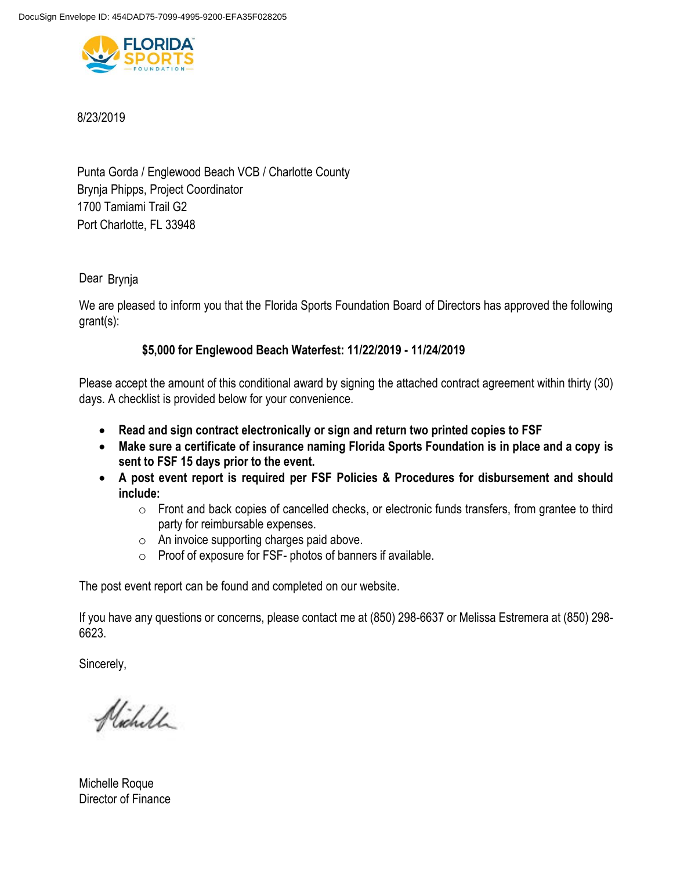

8/23/2019

Punta Gorda / Englewood Beach VCB / Charlotte County 1700 Tamiami Trail G2 Brynja Phipps, Project Coordinator Port Charlotte, FL 33948

Dear Brynja

We are pleased to inform you that the Florida Sports Foundation Board of Directors has approved the following grant(s):

# **\$5,000 for Englewood Beach Waterfest: 11/22/2019 - 11/24/2019**

Please accept the amount of this conditional award by signing the attached contract agreement within thirty (30) days. A checklist is provided below for your convenience.

- **Read and sign contract electronically or sign and return two printed copies to FSF**
- **Make sure a certificate of insurance naming Florida Sports Foundation is in place and a copy is sent to FSF 15 days prior to the event.**
- **A post event report is required per FSF Policies & Procedures for disbursement and should include:** 
	- o Front and back copies of cancelled checks, or electronic funds transfers, from grantee to third party for reimbursable expenses.
	- o An invoice supporting charges paid above.
	- o Proof of exposure for FSF- photos of banners if available.

The post event report can be found and completed on our website.

If you have any questions or concerns, please contact me at (850) 298-6637 or Melissa Estremera at (850) 298- 6623.

Sincerely,

Nicholl

Michelle Roque Director of Finance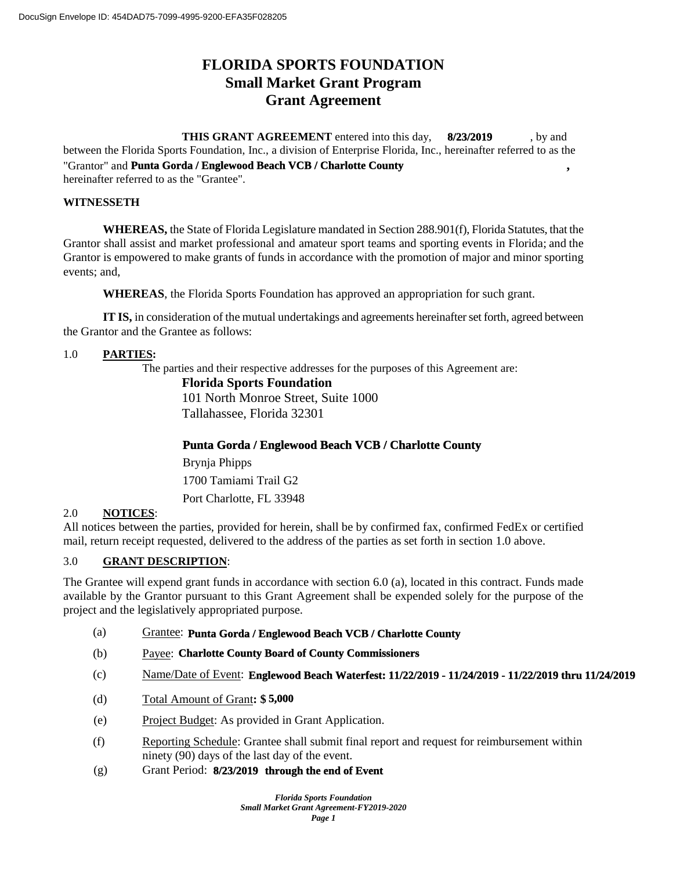# **FLORIDA SPORTS FOUNDATION Small Market Grant Program Grant Agreement**

**THIS GRANT AGREEMENT** entered into this day, 8/23/2019, by and between the Florida Sports Foundation, Inc., a division of Enterprise Florida, Inc., hereinafter referred to as the "Grantor" and **Punta Gorda / Englewood Beach VCB / Charlotte County**, **8/23/2019**

hereinafter referred to as the "Grantee".

### **WITNESSETH**

**WHEREAS,** the State of Florida Legislature mandated in Section 288.901(f), Florida Statutes, that the Grantor shall assist and market professional and amateur sport teams and sporting events in Florida; and the Grantor is empowered to make grants of funds in accordance with the promotion of major and minor sporting events; and,

**WHEREAS**, the Florida Sports Foundation has approved an appropriation for such grant.

**IT IS,** in consideration of the mutual undertakings and agreements hereinafter set forth, agreed between the Grantor and the Grantee as follows:

### 1.0 **PARTIES:**

The parties and their respective addresses for the purposes of this Agreement are:

#### **Florida Sports Foundation**

101 North Monroe Street, Suite 1000 Tallahassee, Florida 32301

# **Punta Gorda / Englewood Beach VCB / Charlotte County**

1700 Tamiami Trail G2 Port Charlotte, FL 33948 Brynja Phipps

# 2.0 **NOTICES**:

All notices between the parties, provided for herein, shall be by confirmed fax, confirmed FedEx or certified mail, return receipt requested, delivered to the address of the parties as set forth in section 1.0 above.

### 3.0 **GRANT DESCRIPTION**:

The Grantee will expend grant funds in accordance with section 6.0 (a), located in this contract. Funds made available by the Grantor pursuant to this Grant Agreement shall be expended solely for the purpose of the project and the legislatively appropriated purpose.

- (a) Grantee: **Punta Gorda / Englewood Beach VCB / Charlotte County**
- (b) Payee: **Charlotte County Board of County Commissioners**
- (c) Name/Date of Event: **Englewood Beach Waterfest: 11/22/2019 11/24/2019 11/22/2019 thru 11/24/2019**
- (d) Total Amount of Grant**: \$ 5,000**
- (e) Project Budget: As provided in Grant Application.
- (f) Reporting Schedule: Grantee shall submit final report and request for reimbursement within ninety (90) days of the last day of the event.
- (g) Grant Period: **8/23/2019** through the end of Event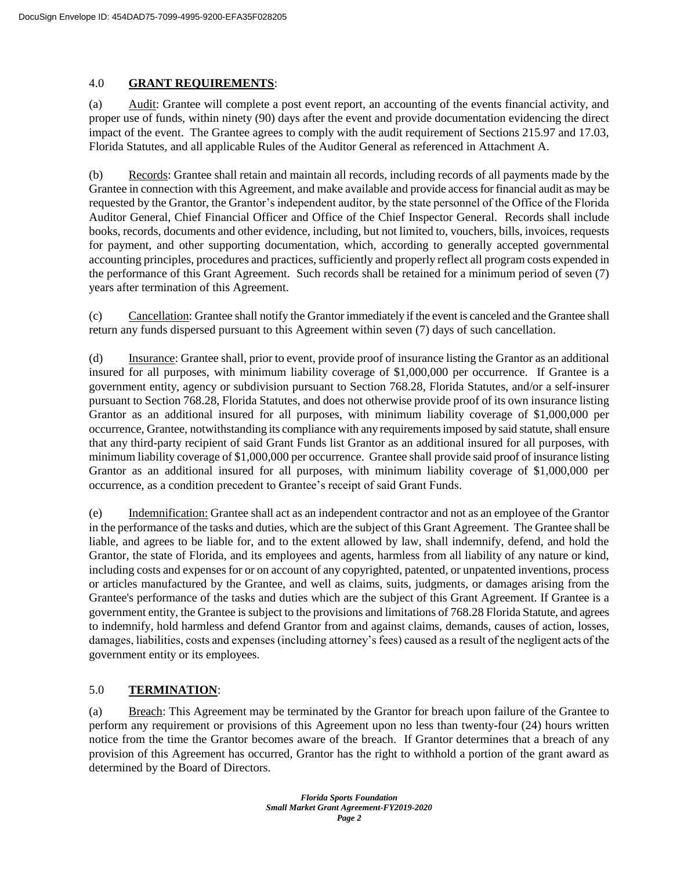### 4.0 **GRANT REQUIREMENTS**:

(a) Audit: Grantee will complete a post event report, an accounting of the events financial activity, and proper use of funds, within ninety (90) days after the event and provide documentation evidencing the direct impact of the event. The Grantee agrees to comply with the audit requirement of Sections 215.97 and 17.03, Florida Statutes, and all applicable Rules of the Auditor General as referenced in Attachment A.

(b) Records: Grantee shall retain and maintain all records, including records of all payments made by the Grantee in connection with this Agreement, and make available and provide access for financial audit as may be requested by the Grantor, the Grantor's independent auditor, by the state personnel of the Office of the Florida Auditor General, Chief Financial Officer and Office of the Chief Inspector General. Records shall include books, records, documents and other evidence, including, but not limited to, vouchers, bills, invoices, requests for payment, and other supporting documentation, which, according to generally accepted governmental accounting principles, procedures and practices, sufficiently and properly reflect all program costs expended in the performance of this Grant Agreement. Such records shall be retained for a minimum period of seven (7) years after termination of this Agreement.

(c) Cancellation: Grantee shall notify the Grantor immediately if the event is canceled and the Grantee shall return any funds dispersed pursuant to this Agreement within seven (7) days of such cancellation.

(d) Insurance: Grantee shall, prior to event, provide proof of insurance listing the Grantor as an additional insured for all purposes, with minimum liability coverage of \$1,000,000 per occurrence. If Grantee is a government entity, agency or subdivision pursuant to Section 768.28, Florida Statutes, and/or a self-insurer pursuant to Section 768.28, Florida Statutes, and does not otherwise provide proof of its own insurance listing Grantor as an additional insured for all purposes, with minimum liability coverage of \$1,000,000 per occurrence, Grantee, notwithstanding its compliance with any requirements imposed by said statute, shall ensure that any third-party recipient of said Grant Funds list Grantor as an additional insured for all purposes, with minimum liability coverage of \$1,000,000 per occurrence. Grantee shall provide said proof of insurance listing Grantor as an additional insured for all purposes, with minimum liability coverage of \$1,000,000 per occurrence, as a condition precedent to Grantee's receipt of said Grant Funds.

(e) Indemnification: Grantee shall act as an independent contractor and not as an employee of the Grantor in the performance of the tasks and duties, which are the subject of this Grant Agreement. The Grantee shall be liable, and agrees to be liable for, and to the extent allowed by law, shall indemnify, defend, and hold the Grantor, the state of Florida, and its employees and agents, harmless from all liability of any nature or kind, including costs and expenses for or on account of any copyrighted, patented, or unpatented inventions, process or articles manufactured by the Grantee, and well as claims, suits, judgments, or damages arising from the Grantee's performance of the tasks and duties which are the subject of this Grant Agreement. If Grantee is a government entity, the Grantee is subject to the provisions and limitations of 768.28 Florida Statute, and agrees to indemnify, hold harmless and defend Grantor from and against claims, demands, causes of action, losses, damages, liabilities, costs and expenses (including attorney's fees) caused as a result of the negligent acts of the government entity or its employees.

# 5.0 **TERMINATION**:

(a) Breach: This Agreement may be terminated by the Grantor for breach upon failure of the Grantee to perform any requirement or provisions of this Agreement upon no less than twenty-four (24) hours written notice from the time the Grantor becomes aware of the breach. If Grantor determines that a breach of any provision of this Agreement has occurred, Grantor has the right to withhold a portion of the grant award as determined by the Board of Directors.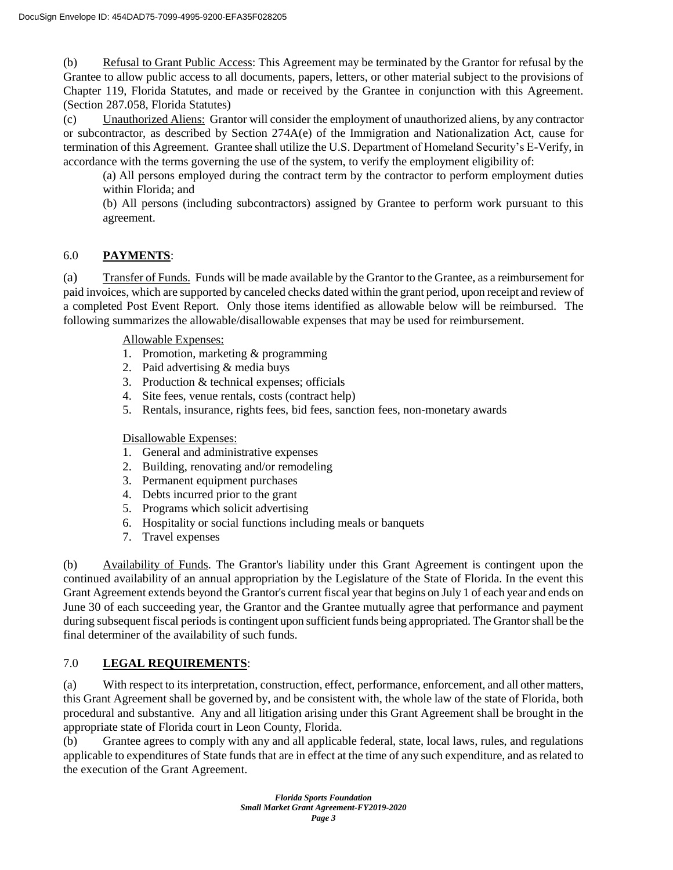(b) Refusal to Grant Public Access: This Agreement may be terminated by the Grantor for refusal by the Grantee to allow public access to all documents, papers, letters, or other material subject to the provisions of Chapter 119, Florida Statutes, and made or received by the Grantee in conjunction with this Agreement. (Section 287.058, Florida Statutes)

(c) Unauthorized Aliens: Grantor will consider the employment of unauthorized aliens, by any contractor or subcontractor, as described by Section 274A(e) of the Immigration and Nationalization Act, cause for termination of this Agreement. Grantee shall utilize the U.S. Department of Homeland Security's E-Verify, in accordance with the terms governing the use of the system, to verify the employment eligibility of:

(a) All persons employed during the contract term by the contractor to perform employment duties within Florida; and

(b) All persons (including subcontractors) assigned by Grantee to perform work pursuant to this agreement.

# 6.0 **PAYMENTS**:

(a) Transfer of Funds. Funds will be made available by the Grantor to the Grantee, as a reimbursement for paid invoices, which are supported by canceled checks dated within the grant period, upon receipt and review of a completed Post Event Report. Only those items identified as allowable below will be reimbursed. The following summarizes the allowable/disallowable expenses that may be used for reimbursement.

Allowable Expenses:

- 1. Promotion, marketing & programming
- 2. Paid advertising & media buys
- 3. Production & technical expenses; officials
- 4. Site fees, venue rentals, costs (contract help)
- 5. Rentals, insurance, rights fees, bid fees, sanction fees, non-monetary awards

Disallowable Expenses:

- 1. General and administrative expenses
- 2. Building, renovating and/or remodeling
- 3. Permanent equipment purchases
- 4. Debts incurred prior to the grant
- 5. Programs which solicit advertising
- 6. Hospitality or social functions including meals or banquets
- 7. Travel expenses

(b) Availability of Funds. The Grantor's liability under this Grant Agreement is contingent upon the continued availability of an annual appropriation by the Legislature of the State of Florida. In the event this Grant Agreement extends beyond the Grantor's current fiscal year that begins on July 1 of each year and ends on June 30 of each succeeding year, the Grantor and the Grantee mutually agree that performance and payment during subsequent fiscal periods is contingent upon sufficient funds being appropriated. The Grantor shall be the final determiner of the availability of such funds.

# 7.0 **LEGAL REQUIREMENTS**:

(a) With respect to its interpretation, construction, effect, performance, enforcement, and all other matters, this Grant Agreement shall be governed by, and be consistent with, the whole law of the state of Florida, both procedural and substantive. Any and all litigation arising under this Grant Agreement shall be brought in the appropriate state of Florida court in Leon County, Florida.

(b) Grantee agrees to comply with any and all applicable federal, state, local laws, rules, and regulations applicable to expenditures of State funds that are in effect at the time of any such expenditure, and as related to the execution of the Grant Agreement.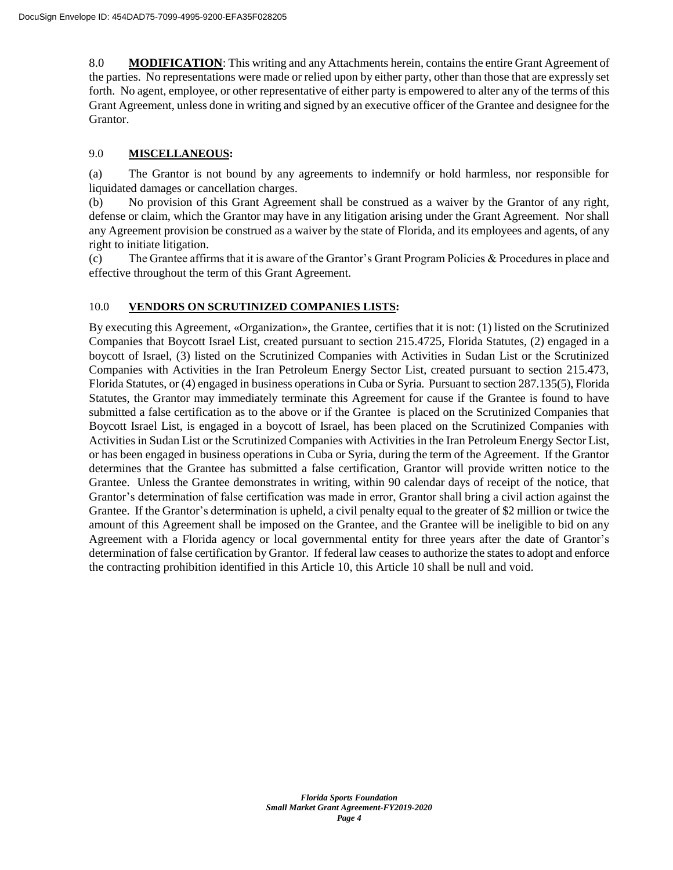8.0 **MODIFICATION**: This writing and any Attachments herein, contains the entire Grant Agreement of the parties. No representations were made or relied upon by either party, other than those that are expressly set forth. No agent, employee, or other representative of either party is empowered to alter any of the terms of this Grant Agreement, unless done in writing and signed by an executive officer of the Grantee and designee for the Grantor.

### 9.0 **MISCELLANEOUS:**

(a) The Grantor is not bound by any agreements to indemnify or hold harmless, nor responsible for liquidated damages or cancellation charges.

(b) No provision of this Grant Agreement shall be construed as a waiver by the Grantor of any right, defense or claim, which the Grantor may have in any litigation arising under the Grant Agreement. Nor shall any Agreement provision be construed as a waiver by the state of Florida, and its employees and agents, of any right to initiate litigation.

(c) The Grantee affirms that it is aware of the Grantor's Grant Program Policies & Procedures in place and effective throughout the term of this Grant Agreement.

### 10.0 **VENDORS ON SCRUTINIZED COMPANIES LISTS:**

By executing this Agreement, «Organization», the Grantee, certifies that it is not: (1) listed on the Scrutinized Companies that Boycott Israel List, created pursuant to section 215.4725, Florida Statutes, (2) engaged in a boycott of Israel, (3) listed on the Scrutinized Companies with Activities in Sudan List or the Scrutinized Companies with Activities in the Iran Petroleum Energy Sector List, created pursuant to section 215.473, Florida Statutes, or (4) engaged in business operations in Cuba or Syria. Pursuant to section 287.135(5), Florida Statutes, the Grantor may immediately terminate this Agreement for cause if the Grantee is found to have submitted a false certification as to the above or if the Grantee is placed on the Scrutinized Companies that Boycott Israel List, is engaged in a boycott of Israel, has been placed on the Scrutinized Companies with Activities in Sudan List or the Scrutinized Companies with Activities in the Iran Petroleum Energy Sector List, or has been engaged in business operations in Cuba or Syria, during the term of the Agreement. If the Grantor determines that the Grantee has submitted a false certification, Grantor will provide written notice to the Grantee. Unless the Grantee demonstrates in writing, within 90 calendar days of receipt of the notice, that Grantor's determination of false certification was made in error, Grantor shall bring a civil action against the Grantee. If the Grantor's determination is upheld, a civil penalty equal to the greater of \$2 million or twice the amount of this Agreement shall be imposed on the Grantee, and the Grantee will be ineligible to bid on any Agreement with a Florida agency or local governmental entity for three years after the date of Grantor's determination of false certification by Grantor. If federal law ceases to authorize the states to adopt and enforce the contracting prohibition identified in this Article 10, this Article 10 shall be null and void.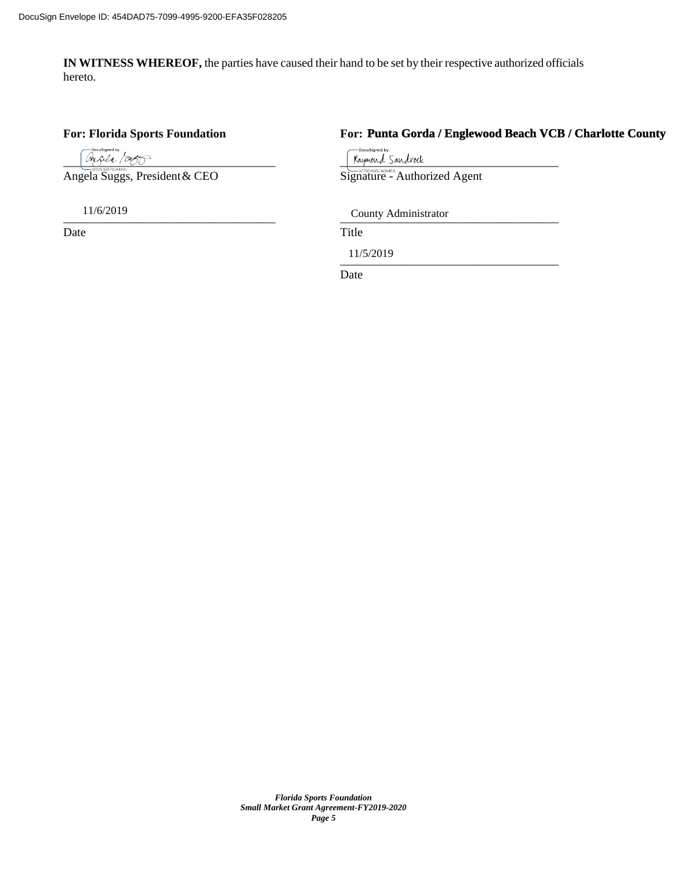**IN WITNESS WHEREOF,** the parties have caused their hand to be set by their respective authorized officials hereto.

### **For: Florida Sports Foundation For:**

Angela Suggs, President & CEO

Date Title

# **Punta Gorda / Englewood Beach VCB / Charlotte County**

uSigned by  $\frac{m_{\mathcal{L}}\ell_{\mathcal{L}}}{\text{Signature}}$  Sandrock<br>
Ela Suggs, President & CEO<br>
Signature - Authorized Agent

\_\_\_\_\_\_\_\_\_\_\_\_\_\_\_\_\_\_\_\_\_\_\_\_\_\_\_\_\_\_\_\_\_\_\_ \_\_\_\_\_\_\_\_\_\_\_\_\_\_\_\_\_\_\_\_\_\_\_\_\_\_\_\_\_\_\_\_\_\_\_\_ 11/6/2019 County Administrator

 $11/3/2019$ 11/5/2019

Date